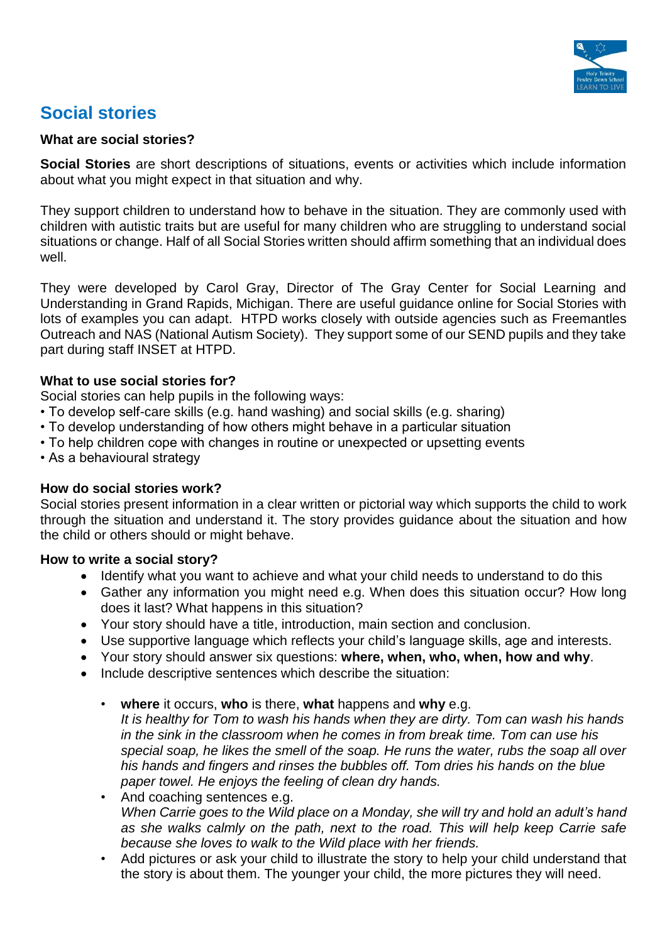

# **Social stories**

#### **What are social stories?**

**Social Stories** are short descriptions of situations, events or activities which include information about what you might expect in that situation and why.

They support children to understand how to behave in the situation. They are commonly used with children with autistic traits but are useful for many children who are struggling to understand social situations or change. Half of all Social Stories written should affirm something that an individual does well.

They were developed by Carol Gray, Director of The Gray Center for Social Learning and Understanding in Grand Rapids, Michigan. There are useful guidance online for Social Stories with lots of examples you can adapt. HTPD works closely with outside agencies such as Freemantles Outreach and NAS (National Autism Society). They support some of our SEND pupils and they take part during staff INSET at HTPD.

#### **What to use social stories for?**

Social stories can help pupils in the following ways:

- To develop self-care skills (e.g. hand washing) and social skills (e.g. sharing)
- To develop understanding of how others might behave in a particular situation
- To help children cope with changes in routine or unexpected or upsetting events
- As a behavioural strategy

# **How do social stories work?**

Social stories present information in a clear written or pictorial way which supports the child to work through the situation and understand it. The story provides guidance about the situation and how the child or others should or might behave.

#### **How to write a social story?**

- Identify what you want to achieve and what your child needs to understand to do this
- Gather any information you might need e.g. When does this situation occur? How long does it last? What happens in this situation?
- Your story should have a title, introduction, main section and conclusion.
- Use supportive language which reflects your child's language skills, age and interests.
- Your story should answer six questions: **where, when, who, when, how and why**.
- Include descriptive sentences which describe the situation:
	- **where** it occurs, **who** is there, **what** happens and **why** e.g. *It is healthy for Tom to wash his hands when they are dirty. Tom can wash his hands in the sink in the classroom when he comes in from break time. Tom can use his special soap, he likes the smell of the soap. He runs the water, rubs the soap all over his hands and fingers and rinses the bubbles off. Tom dries his hands on the blue paper towel. He enjoys the feeling of clean dry hands.*
	- And coaching sentences e.g. *When Carrie goes to the Wild place on a Monday, she will try and hold an adult's hand as she walks calmly on the path, next to the road. This will help keep Carrie safe because she loves to walk to the Wild place with her friends.*
	- Add pictures or ask your child to illustrate the story to help your child understand that the story is about them. The younger your child, the more pictures they will need.